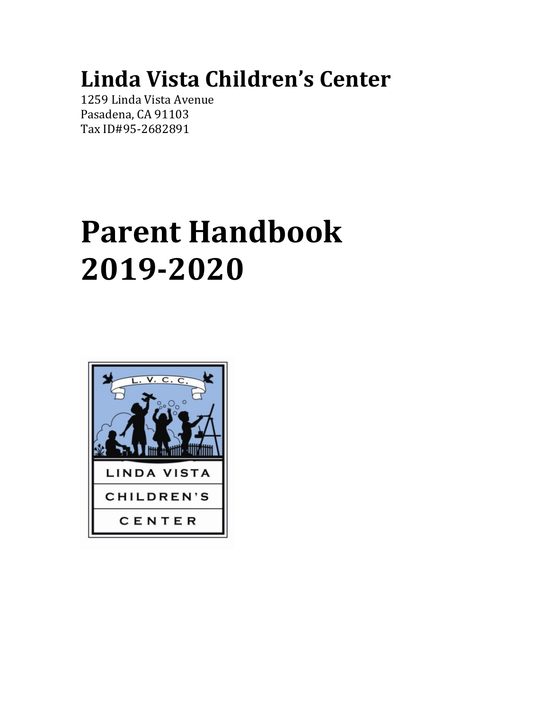# **Linda Vista Children's Center**

1259 Linda Vista Avenue Pasadena, CA 91103 Tax ID#95-2682891

# **Parent Handbook 2019‐2020**

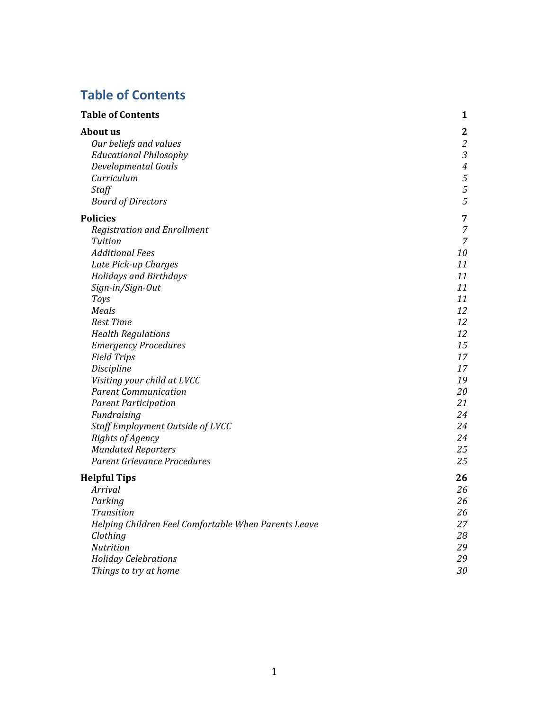## **Table of Contents**

| <b>Table of Contents</b>                             | 1              |
|------------------------------------------------------|----------------|
| <b>About us</b>                                      | $\mathbf{2}$   |
| Our beliefs and values                               | $\mathfrak{2}$ |
| <b>Educational Philosophy</b>                        | $\mathfrak{Z}$ |
| Developmental Goals                                  | $\overline{4}$ |
| Curriculum                                           | $\sqrt{5}$     |
| <b>Staff</b>                                         | $\sqrt{5}$     |
| <b>Board of Directors</b>                            | 5              |
| <b>Policies</b>                                      | 7              |
| <b>Registration and Enrollment</b>                   | $\overline{7}$ |
| Tuition                                              | $\overline{7}$ |
| <b>Additional Fees</b>                               | 10             |
| Late Pick-up Charges                                 | 11             |
| <b>Holidays and Birthdays</b>                        | 11             |
| Sign-in/Sign-Out                                     | 11             |
| Toys                                                 | 11             |
| Meals                                                | 12             |
| <b>Rest Time</b>                                     | 12             |
| <b>Health Regulations</b>                            | 12             |
| <b>Emergency Procedures</b>                          | 15             |
| <b>Field Trips</b>                                   | 17             |
| Discipline                                           | 17             |
| Visiting your child at LVCC                          | 19             |
| <b>Parent Communication</b>                          | 20             |
| <b>Parent Participation</b>                          | 21             |
| Fundraising                                          | 24             |
| Staff Employment Outside of LVCC                     | 24             |
| <b>Rights of Agency</b>                              | 24             |
| <b>Mandated Reporters</b>                            | 25             |
| Parent Grievance Procedures                          | 25             |
| <b>Helpful Tips</b>                                  | 26             |
| Arrival                                              | 26             |
| Parking                                              | 26             |
| <b>Transition</b>                                    | 26             |
| Helping Children Feel Comfortable When Parents Leave | 27             |
| Clothing                                             | 28             |
| Nutrition                                            | 29             |
| <b>Holiday Celebrations</b>                          | 29             |
| Things to try at home                                | 30             |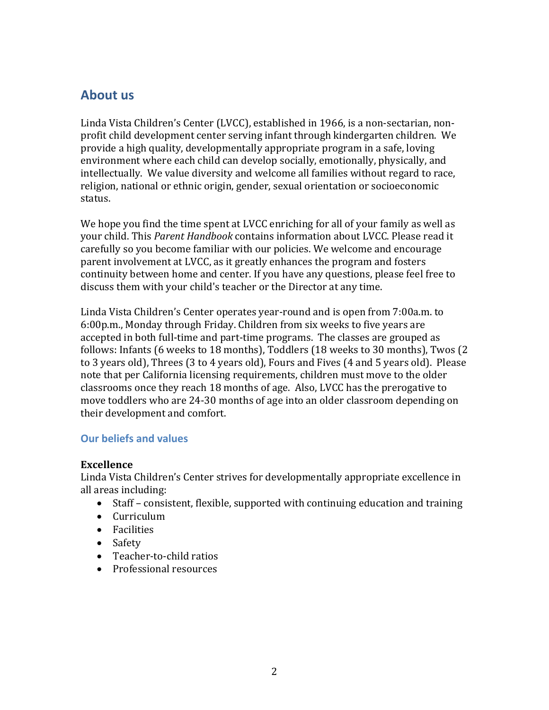#### **About us**

Linda Vista Children's Center (LVCC), established in 1966, is a non-sectarian, nonprofit child development center serving infant through kindergarten children. We provide a high quality, developmentally appropriate program in a safe, loving environment where each child can develop socially, emotionally, physically, and intellectually. We value diversity and welcome all families without regard to race, religion, national or ethnic origin, gender, sexual orientation or socioeconomic status.

We hope you find the time spent at LVCC enriching for all of your family as well as your child. This *Parent Handbook* contains information about LVCC. Please read it carefully so you become familiar with our policies. We welcome and encourage parent involvement at LVCC, as it greatly enhances the program and fosters continuity between home and center. If you have any questions, please feel free to discuss them with your child's teacher or the Director at any time.

Linda Vista Children's Center operates year-round and is open from 7:00a.m. to 6:00p.m., Monday through Friday. Children from six weeks to five years are accepted in both full-time and part-time programs. The classes are grouped as follows: Infants (6 weeks to 18 months), Toddlers (18 weeks to 30 months), Twos (2 to 3 years old), Threes (3 to 4 years old), Fours and Fives (4 and 5 years old). Please note that per California licensing requirements, children must move to the older classrooms once they reach 18 months of age. Also, LVCC has the prerogative to move toddlers who are 24-30 months of age into an older classroom depending on their development and comfort.

#### **Our beliefs and values**

#### **Excellence**

Linda Vista Children's Center strives for developmentally appropriate excellence in all areas including:

- Staff consistent, flexible, supported with continuing education and training
- Curriculum
- **•** Facilities
- Safety
- Teacher-to-child ratios
- Professional resources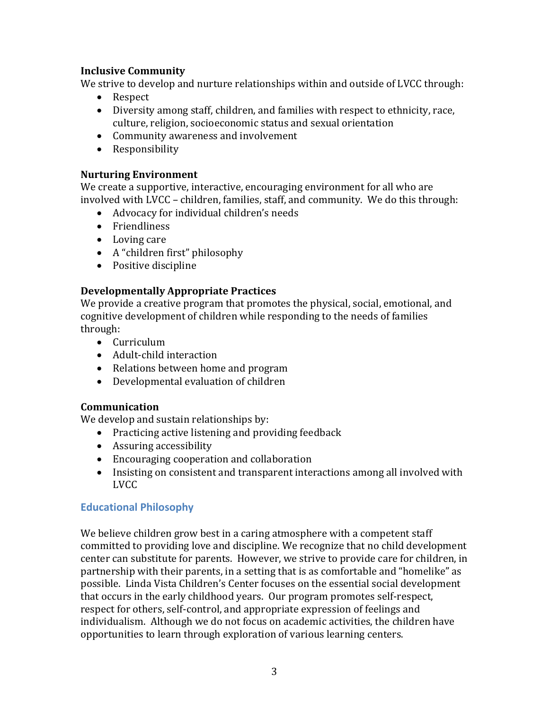#### **Inclusive Community**

We strive to develop and nurture relationships within and outside of LVCC through:

- Respect
- Diversity among staff, children, and families with respect to ethnicity, race, culture, religion, socioeconomic status and sexual orientation
- Community awareness and involvement
- Responsibility

#### **Nurturing Environment**

We create a supportive, interactive, encouraging environment for all who are involved with LVCC – children, families, staff, and community. We do this through:

- Advocacy for individual children's needs
- Friendliness
- Loving care
- A "children first" philosophy
- Positive discipline

#### **Developmentally Appropriate Practices**

We provide a creative program that promotes the physical, social, emotional, and cognitive development of children while responding to the needs of families through:

- Curriculum
- Adult-child interaction
- Relations between home and program
- Developmental evaluation of children

#### **Communication**

We develop and sustain relationships by:

- Practicing active listening and providing feedback
- Assuring accessibility
- Encouraging cooperation and collaboration
- Insisting on consistent and transparent interactions among all involved with LVCC

#### **Educational Philosophy**

We believe children grow best in a caring atmosphere with a competent staff committed to providing love and discipline. We recognize that no child development center can substitute for parents. However, we strive to provide care for children, in partnership with their parents, in a setting that is as comfortable and "homelike" as possible. Linda Vista Children's Center focuses on the essential social development that occurs in the early childhood years. Our program promotes self-respect, respect for others, self-control, and appropriate expression of feelings and individualism. Although we do not focus on academic activities, the children have opportunities to learn through exploration of various learning centers.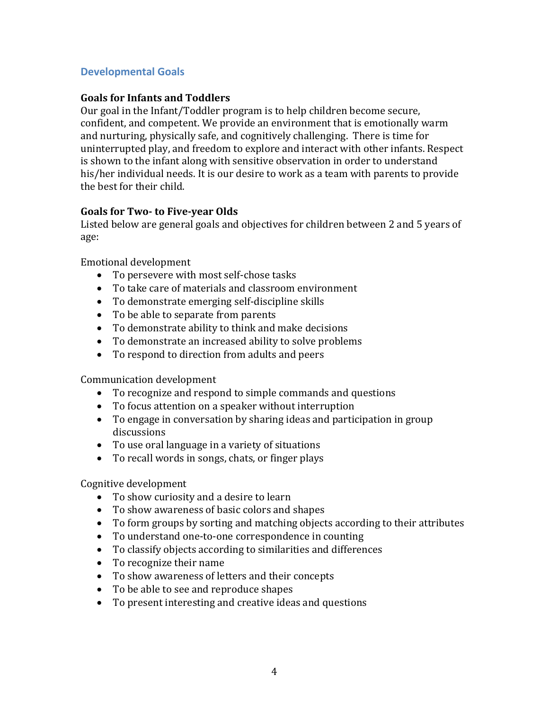#### **Developmental Goals**

#### **Goals for Infants and Toddlers**

Our goal in the Infant/Toddler program is to help children become secure, confident, and competent. We provide an environment that is emotionally warm and nurturing, physically safe, and cognitively challenging. There is time for uninterrupted play, and freedom to explore and interact with other infants. Respect is shown to the infant along with sensitive observation in order to understand his/her individual needs. It is our desire to work as a team with parents to provide the best for their child.

#### **Goals for Two‐ to Five‐year Olds**

Listed below are general goals and objectives for children between 2 and 5 years of age:

Emotional development

- To persevere with most self-chose tasks
- To take care of materials and classroom environment
- To demonstrate emerging self-discipline skills
- To be able to separate from parents
- To demonstrate ability to think and make decisions
- To demonstrate an increased ability to solve problems
- To respond to direction from adults and peers

Communication development

- To recognize and respond to simple commands and questions
- To focus attention on a speaker without interruption
- To engage in conversation by sharing ideas and participation in group discussions
- To use oral language in a variety of situations
- To recall words in songs, chats, or finger plays

Cognitive development

- To show curiosity and a desire to learn
- To show awareness of basic colors and shapes
- To form groups by sorting and matching objects according to their attributes
- To understand one-to-one correspondence in counting
- To classify objects according to similarities and differences
- To recognize their name
- To show awareness of letters and their concepts
- To be able to see and reproduce shapes
- To present interesting and creative ideas and questions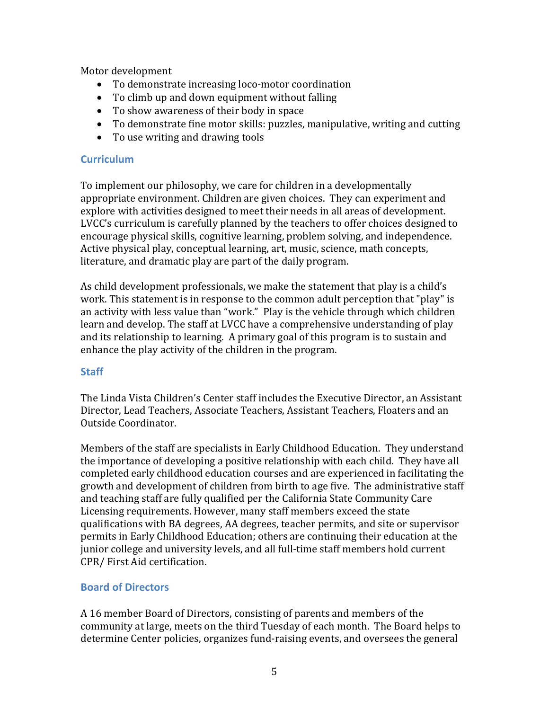Motor development

- To demonstrate increasing loco-motor coordination
- To climb up and down equipment without falling
- To show awareness of their body in space
- To demonstrate fine motor skills: puzzles, manipulative, writing and cutting
- To use writing and drawing tools

#### **Curriculum**

To implement our philosophy, we care for children in a developmentally appropriate environment. Children are given choices. They can experiment and explore with activities designed to meet their needs in all areas of development. LVCC's curriculum is carefully planned by the teachers to offer choices designed to encourage physical skills, cognitive learning, problem solving, and independence. Active physical play, conceptual learning, art, music, science, math concepts, literature, and dramatic play are part of the daily program.

As child development professionals, we make the statement that play is a child's work. This statement is in response to the common adult perception that "play" is an activity with less value than "work." Play is the vehicle through which children learn and develop. The staff at LVCC have a comprehensive understanding of play and its relationship to learning. A primary goal of this program is to sustain and enhance the play activity of the children in the program.

#### **Staff**

The Linda Vista Children's Center staff includes the Executive Director, an Assistant Director, Lead Teachers, Associate Teachers, Assistant Teachers, Floaters and an Outside Coordinator.

Members of the staff are specialists in Early Childhood Education. They understand the importance of developing a positive relationship with each child. They have all completed early childhood education courses and are experienced in facilitating the growth and development of children from birth to age five. The administrative staff and teaching staff are fully qualified per the California State Community Care Licensing requirements. However, many staff members exceed the state qualifications with BA degrees, AA degrees, teacher permits, and site or supervisor permits in Early Childhood Education; others are continuing their education at the junior college and university levels, and all full-time staff members hold current CPR/ First Aid certification.

#### **Board of Directors**

A 16 member Board of Directors, consisting of parents and members of the community at large, meets on the third Tuesday of each month. The Board helps to determine Center policies, organizes fund-raising events, and oversees the general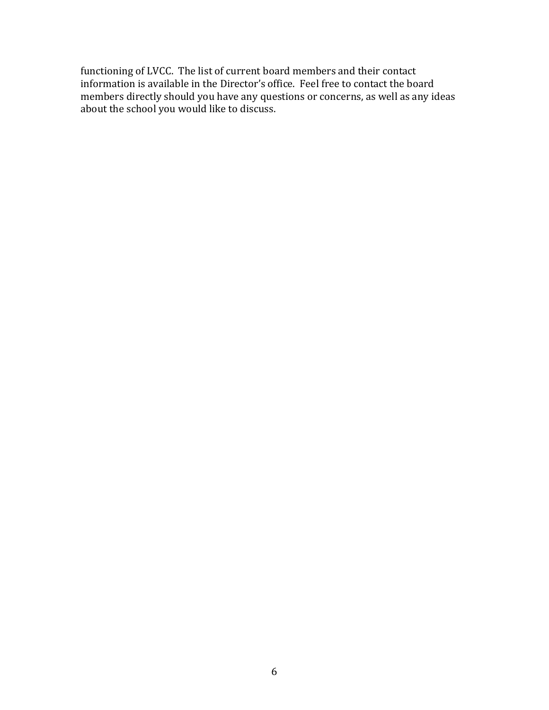functioning of LVCC. The list of current board members and their contact information is available in the Director's office. Feel free to contact the board members directly should you have any questions or concerns, as well as any ideas about the school you would like to discuss.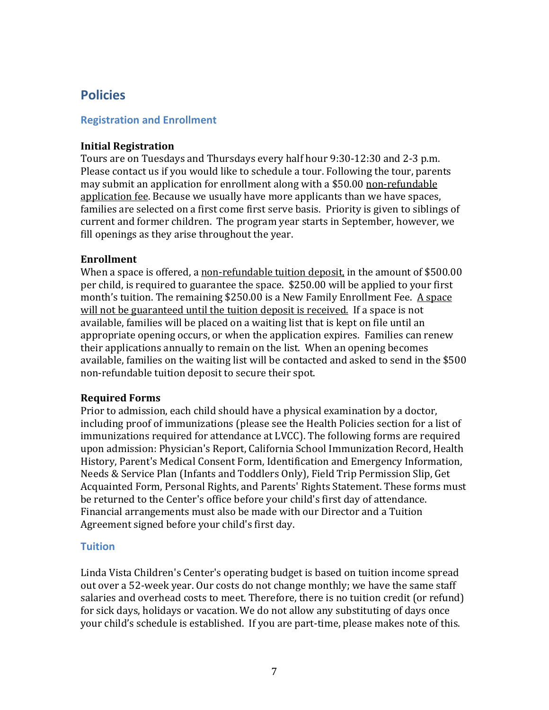### **Policies**

#### **Registration and Enrollment**

#### **Initial Registration**

Tours are on Tuesdays and Thursdays every half hour 9:30-12:30 and 2-3 p.m. Please contact us if you would like to schedule a tour. Following the tour, parents may submit an application for enrollment along with a \$50.00 non-refundable application fee. Because we usually have more applicants than we have spaces, families are selected on a first come first serve basis. Priority is given to siblings of current and former children. The program year starts in September, however, we fill openings as they arise throughout the year.

#### **Enrollment**

When a space is offered, a non-refundable tuition deposit, in the amount of \$500.00 per child, is required to guarantee the space. \$250.00 will be applied to your first month's tuition. The remaining \$250.00 is a New Family Enrollment Fee. A space will not be guaranteed until the tuition deposit is received. If a space is not available, families will be placed on a waiting list that is kept on file until an appropriate opening occurs, or when the application expires. Families can renew their applications annually to remain on the list. When an opening becomes available, families on the waiting list will be contacted and asked to send in the \$500 non-refundable tuition deposit to secure their spot.

#### **Required Forms**

Prior to admission, each child should have a physical examination by a doctor, including proof of immunizations (please see the Health Policies section for a list of immunizations required for attendance at LVCC). The following forms are required upon admission: Physician's Report, California School Immunization Record, Health History, Parent's Medical Consent Form, Identification and Emergency Information, Needs & Service Plan (Infants and Toddlers Only), Field Trip Permission Slip, Get Acquainted Form, Personal Rights, and Parents' Rights Statement. These forms must be returned to the Center's office before your child's first day of attendance. Financial arrangements must also be made with our Director and a Tuition Agreement signed before your child's first day.

#### **Tuition**

Linda Vista Children's Center's operating budget is based on tuition income spread out over a 52-week year. Our costs do not change monthly; we have the same staff salaries and overhead costs to meet. Therefore, there is no tuition credit (or refund) for sick days, holidays or vacation. We do not allow any substituting of days once your child's schedule is established. If you are part-time, please makes note of this.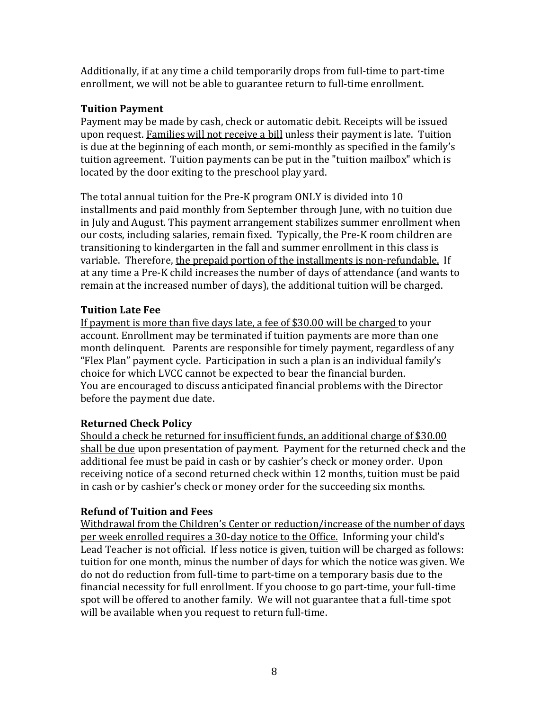Additionally, if at any time a child temporarily drops from full-time to part-time enrollment, we will not be able to guarantee return to full-time enrollment.

#### **Tuition Payment**

Payment may be made by cash, check or automatic debit. Receipts will be issued upon request. Families will not receive a bill unless their payment is late. Tuition is due at the beginning of each month, or semi-monthly as specified in the family's tuition agreement. Tuition payments can be put in the "tuition mailbox" which is located by the door exiting to the preschool play yard.

The total annual tuition for the Pre-K program ONLY is divided into 10 installments and paid monthly from September through June, with no tuition due in July and August. This payment arrangement stabilizes summer enrollment when our costs, including salaries, remain fixed. Typically, the Pre-K room children are transitioning to kindergarten in the fall and summer enrollment in this class is variable. Therefore, the prepaid portion of the installments is non-refundable. If at any time a Pre-K child increases the number of days of attendance (and wants to remain at the increased number of days), the additional tuition will be charged.

#### **Tuition Late Fee**

If payment is more than five days late, a fee of \$30.00 will be charged to your account. Enrollment may be terminated if tuition payments are more than one month delinquent. Parents are responsible for timely payment, regardless of any "Flex Plan" payment cycle. Participation in such a plan is an individual family's choice for which LVCC cannot be expected to bear the financial burden. You are encouraged to discuss anticipated financial problems with the Director before the payment due date.

#### **Returned Check Policy**

Should a check be returned for insufficient funds, an additional charge of \$30.00 shall be due upon presentation of payment. Payment for the returned check and the additional fee must be paid in cash or by cashier's check or money order. Upon receiving notice of a second returned check within 12 months, tuition must be paid in cash or by cashier's check or money order for the succeeding six months.

#### **Refund of Tuition and Fees**

Withdrawal from the Children's Center or reduction/increase of the number of days per week enrolled requires a 30-day notice to the Office. Informing your child's Lead Teacher is not official. If less notice is given, tuition will be charged as follows: tuition for one month, minus the number of days for which the notice was given. We do not do reduction from full-time to part-time on a temporary basis due to the financial necessity for full enrollment. If you choose to go part-time, your full-time spot will be offered to another family. We will not guarantee that a full-time spot will be available when you request to return full-time.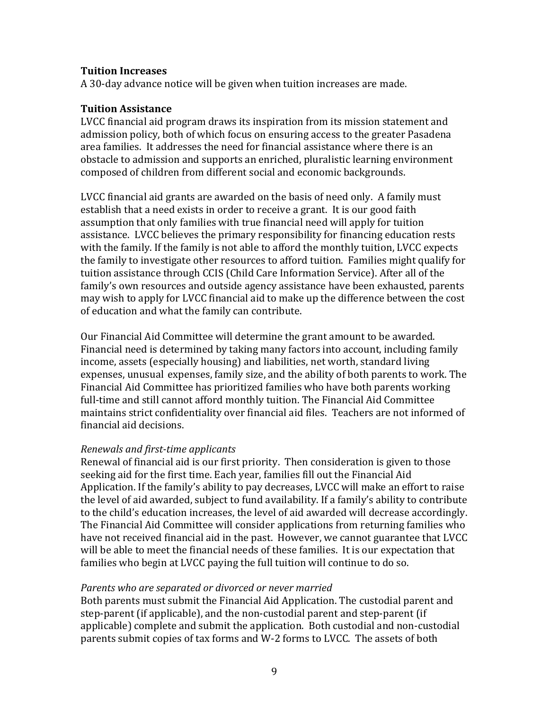#### **Tuition Increases**

A 30-day advance notice will be given when tuition increases are made.

#### **Tuition Assistance**

LVCC financial aid program draws its inspiration from its mission statement and admission policy, both of which focus on ensuring access to the greater Pasadena area families. It addresses the need for financial assistance where there is an obstacle to admission and supports an enriched, pluralistic learning environment composed of children from different social and economic backgrounds.

LVCC financial aid grants are awarded on the basis of need only. A family must establish that a need exists in order to receive a grant. It is our good faith assumption that only families with true financial need will apply for tuition assistance. LVCC believes the primary responsibility for financing education rests with the family. If the family is not able to afford the monthly tuition, LVCC expects the family to investigate other resources to afford tuition. Families might qualify for tuition assistance through CCIS (Child Care Information Service). After all of the family's own resources and outside agency assistance have been exhausted, parents may wish to apply for LVCC financial aid to make up the difference between the cost of education and what the family can contribute.

Our Financial Aid Committee will determine the grant amount to be awarded. Financial need is determined by taking many factors into account, including family income, assets (especially housing) and liabilities, net worth, standard living expenses, unusual expenses, family size, and the ability of both parents to work. The Financial Aid Committee has prioritized families who have both parents working full-time and still cannot afford monthly tuition. The Financial Aid Committee maintains strict confidentiality over financial aid files. Teachers are not informed of financial aid decisions.

#### *Renewals and first‐time applicants*

Renewal of financial aid is our first priority. Then consideration is given to those seeking aid for the first time. Each year, families fill out the Financial Aid Application. If the family's ability to pay decreases, LVCC will make an effort to raise the level of aid awarded, subject to fund availability. If a family's ability to contribute to the child's education increases, the level of aid awarded will decrease accordingly. The Financial Aid Committee will consider applications from returning families who have not received financial aid in the past. However, we cannot guarantee that LVCC will be able to meet the financial needs of these families. It is our expectation that families who begin at LVCC paying the full tuition will continue to do so.

#### *Parents who are separated or divorced or never married*

Both parents must submit the Financial Aid Application. The custodial parent and step-parent (if applicable), and the non-custodial parent and step-parent (if applicable) complete and submit the application. Both custodial and non-custodial parents submit copies of tax forms and W-2 forms to LVCC. The assets of both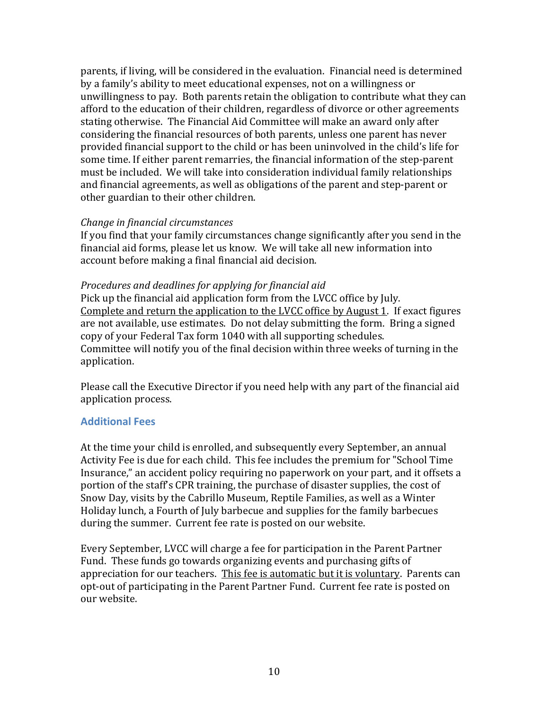parents, if living, will be considered in the evaluation. Financial need is determined by a family's ability to meet educational expenses, not on a willingness or unwillingness to pay. Both parents retain the obligation to contribute what they can afford to the education of their children, regardless of divorce or other agreements stating otherwise. The Financial Aid Committee will make an award only after considering the financial resources of both parents, unless one parent has never provided financial support to the child or has been uninvolved in the child's life for some time. If either parent remarries, the financial information of the step-parent must be included. We will take into consideration individual family relationships and financial agreements, as well as obligations of the parent and step-parent or other guardian to their other children.

#### *Change in financial circumstances*

If you find that your family circumstances change significantly after you send in the financial aid forms, please let us know. We will take all new information into account before making a final financial aid decision.

#### *Procedures and deadlines for applying for financial aid*

Pick up the financial aid application form from the LVCC office by July. Complete and return the application to the LVCC office by August 1. If exact figures are not available, use estimates. Do not delay submitting the form. Bring a signed copy of your Federal Tax form 1040 with all supporting schedules. Committee will notify you of the final decision within three weeks of turning in the application.

Please call the Executive Director if you need help with any part of the financial aid application process.

#### **Additional Fees**

At the time your child is enrolled, and subsequently every September, an annual Activity Fee is due for each child. This fee includes the premium for "School Time Insurance," an accident policy requiring no paperwork on your part, and it offsets a portion of the staff's CPR training, the purchase of disaster supplies, the cost of Snow Day, visits by the Cabrillo Museum, Reptile Families, as well as a Winter Holiday lunch, a Fourth of July barbecue and supplies for the family barbecues during the summer. Current fee rate is posted on our website.

Every September, LVCC will charge a fee for participation in the Parent Partner Fund. These funds go towards organizing events and purchasing gifts of appreciation for our teachers. This fee is automatic but it is voluntary. Parents can opt-out of participating in the Parent Partner Fund. Current fee rate is posted on our website.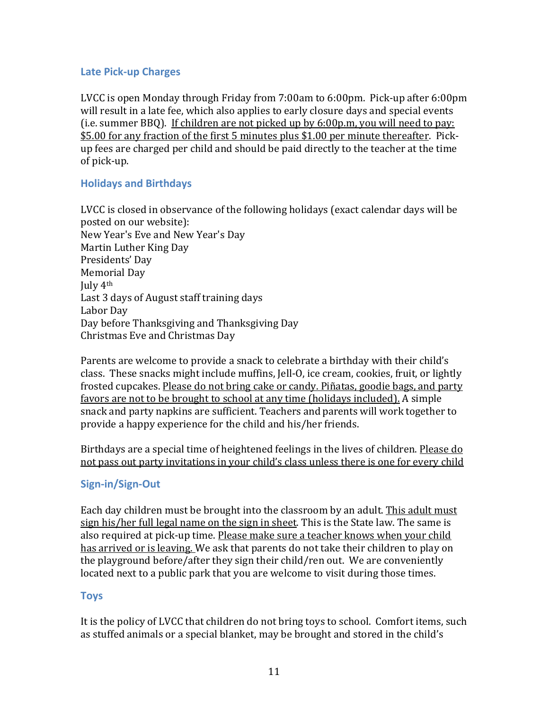#### **Late Pick‐up Charges**

LVCC is open Monday through Friday from 7:00am to 6:00pm. Pick-up after 6:00pm will result in a late fee, which also applies to early closure days and special events (i.e. summer BBQ). If children are not picked up by 6:00p.m, you will need to pay: \$5.00 for any fraction of the first 5 minutes plus \$1.00 per minute thereafter. Pickup fees are charged per child and should be paid directly to the teacher at the time of pick-up.

#### **Holidays and Birthdays**

LVCC is closed in observance of the following holidays (exact calendar days will be posted on our website): New Year's Eve and New Year's Day Martin Luther King Day Presidents' Day Memorial Day July 4th Last 3 days of August staff training days Labor Day Day before Thanksgiving and Thanksgiving Day Christmas Eve and Christmas Day

Parents are welcome to provide a snack to celebrate a birthday with their child's class. These snacks might include muffins, Jell-O, ice cream, cookies, fruit, or lightly frosted cupcakes. Please do not bring cake or candy. Piñatas, goodie bags, and party favors are not to be brought to school at any time (holidays included). A simple snack and party napkins are sufficient. Teachers and parents will work together to provide a happy experience for the child and his/her friends.

Birthdays are a special time of heightened feelings in the lives of children. Please do not pass out party invitations in your child's class unless there is one for every child

#### **Sign‐in/Sign‐Out**

Each day children must be brought into the classroom by an adult. This adult must sign his/her full legal name on the sign in sheet. This is the State law. The same is also required at pick-up time. Please make sure a teacher knows when your child has arrived or is leaving. We ask that parents do not take their children to play on the playground before/after they sign their child/ren out. We are conveniently located next to a public park that you are welcome to visit during those times.

#### **Toys**

It is the policy of LVCC that children do not bring toys to school. Comfort items, such as stuffed animals or a special blanket, may be brought and stored in the child's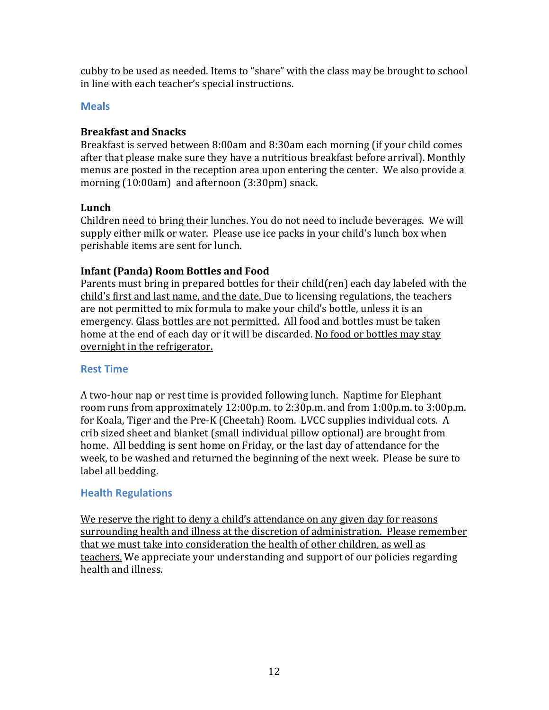cubby to be used as needed. Items to "share" with the class may be brought to school in line with each teacher's special instructions.

#### **Meals**

#### **Breakfast and Snacks**

Breakfast is served between 8:00am and 8:30am each morning (if your child comes after that please make sure they have a nutritious breakfast before arrival). Monthly menus are posted in the reception area upon entering the center. We also provide a morning (10:00am) and afternoon (3:30pm) snack.

#### **Lunch**

Children need to bring their lunches. You do not need to include beverages. We will supply either milk or water. Please use ice packs in your child's lunch box when perishable items are sent for lunch.

#### **Infant (Panda) Room Bottles and Food**

Parents must bring in prepared bottles for their child(ren) each day labeled with the child's first and last name, and the date. Due to licensing regulations, the teachers are not permitted to mix formula to make your child's bottle, unless it is an emergency. Glass bottles are not permitted. All food and bottles must be taken home at the end of each day or it will be discarded. No food or bottles may stay overnight in the refrigerator.

#### **Rest Time**

A two-hour nap or rest time is provided following lunch. Naptime for Elephant room runs from approximately 12:00p.m. to 2:30p.m. and from 1:00p.m. to 3:00p.m. for Koala, Tiger and the Pre-K (Cheetah) Room. LVCC supplies individual cots. A crib sized sheet and blanket (small individual pillow optional) are brought from home. All bedding is sent home on Friday, or the last day of attendance for the week, to be washed and returned the beginning of the next week. Please be sure to label all bedding.

#### **Health Regulations**

We reserve the right to deny a child's attendance on any given day for reasons surrounding health and illness at the discretion of administration. Please remember that we must take into consideration the health of other children, as well as teachers. We appreciate your understanding and support of our policies regarding health and illness.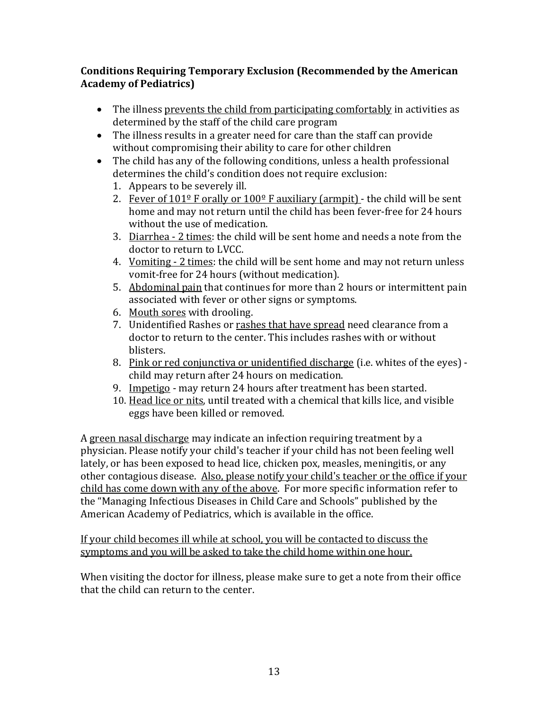#### **Conditions Requiring Temporary Exclusion (Recommended by the American Academy of Pediatrics)**

- The illness prevents the child from participating comfortably in activities as determined by the staff of the child care program
- The illness results in a greater need for care than the staff can provide without compromising their ability to care for other children
- The child has any of the following conditions, unless a health professional determines the child's condition does not require exclusion:
	- 1. Appears to be severely ill.
	- 2. Fever of  $101^{\circ}$  F orally or  $100^{\circ}$  F auxiliary (armpit) the child will be sent home and may not return until the child has been fever-free for 24 hours without the use of medication.
	- 3. Diarrhea 2 times: the child will be sent home and needs a note from the doctor to return to LVCC.
	- 4. Vomiting 2 times: the child will be sent home and may not return unless vomit-free for 24 hours (without medication).
	- 5. Abdominal pain that continues for more than 2 hours or intermittent pain associated with fever or other signs or symptoms.
	- 6. Mouth sores with drooling.
	- 7. Unidentified Rashes or rashes that have spread need clearance from a doctor to return to the center. This includes rashes with or without blisters.
	- 8. Pink or red conjunctiva or unidentified discharge (i.e. whites of the eyes) child may return after 24 hours on medication.
	- 9. Impetigo may return 24 hours after treatment has been started.
	- 10. Head lice or nits, until treated with a chemical that kills lice, and visible eggs have been killed or removed.

A green nasal discharge may indicate an infection requiring treatment by a physician. Please notify your child's teacher if your child has not been feeling well lately, or has been exposed to head lice, chicken pox, measles, meningitis, or any other contagious disease. Also, please notify your child's teacher or the office if your child has come down with any of the above. For more specific information refer to the "Managing Infectious Diseases in Child Care and Schools" published by the American Academy of Pediatrics, which is available in the office.

If your child becomes ill while at school, you will be contacted to discuss the symptoms and you will be asked to take the child home within one hour.

When visiting the doctor for illness, please make sure to get a note from their office that the child can return to the center.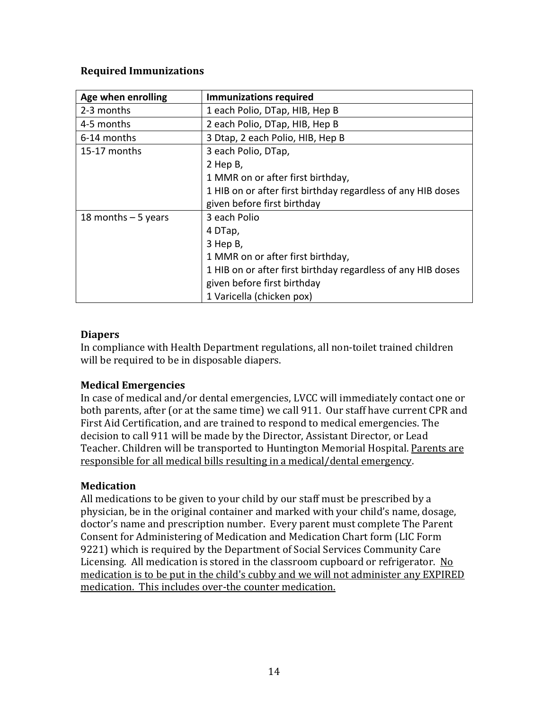#### **Required Immunizations**

| Age when enrolling   | <b>Immunizations required</b>                                |
|----------------------|--------------------------------------------------------------|
| 2-3 months           | 1 each Polio, DTap, HIB, Hep B                               |
| 4-5 months           | 2 each Polio, DTap, HIB, Hep B                               |
| 6-14 months          | 3 Dtap, 2 each Polio, HIB, Hep B                             |
| 15-17 months         | 3 each Polio, DTap,                                          |
|                      | 2 Hep B,                                                     |
|                      | 1 MMR on or after first birthday,                            |
|                      | 1 HIB on or after first birthday regardless of any HIB doses |
|                      | given before first birthday                                  |
| 18 months $-5$ years | 3 each Polio                                                 |
|                      | 4 DTap,                                                      |
|                      | 3 Hep B,                                                     |
|                      | 1 MMR on or after first birthday,                            |
|                      | 1 HIB on or after first birthday regardless of any HIB doses |
|                      | given before first birthday                                  |
|                      | 1 Varicella (chicken pox)                                    |

#### **Diapers**

In compliance with Health Department regulations, all non-toilet trained children will be required to be in disposable diapers.

#### **Medical Emergencies**

In case of medical and/or dental emergencies, LVCC will immediately contact one or both parents, after (or at the same time) we call 911. Our staff have current CPR and First Aid Certification, and are trained to respond to medical emergencies. The decision to call 911 will be made by the Director, Assistant Director, or Lead Teacher. Children will be transported to Huntington Memorial Hospital. Parents are responsible for all medical bills resulting in a medical/dental emergency.

#### **Medication**

All medications to be given to your child by our staff must be prescribed by a physician, be in the original container and marked with your child's name, dosage, doctor's name and prescription number. Every parent must complete The Parent Consent for Administering of Medication and Medication Chart form (LIC Form 9221) which is required by the Department of Social Services Community Care Licensing. All medication is stored in the classroom cupboard or refrigerator. No medication is to be put in the child's cubby and we will not administer any EXPIRED medication. This includes over-the counter medication.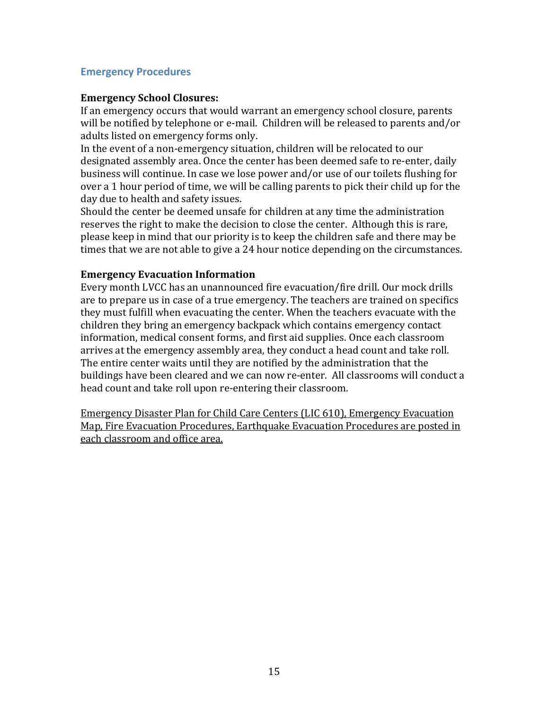#### **Emergency Procedures**

#### **Emergency School Closures:**

If an emergency occurs that would warrant an emergency school closure, parents will be notified by telephone or e-mail. Children will be released to parents and/or adults listed on emergency forms only.

In the event of a non-emergency situation, children will be relocated to our designated assembly area. Once the center has been deemed safe to re-enter, daily business will continue. In case we lose power and/or use of our toilets flushing for over a 1 hour period of time, we will be calling parents to pick their child up for the day due to health and safety issues.

Should the center be deemed unsafe for children at any time the administration reserves the right to make the decision to close the center. Although this is rare, please keep in mind that our priority is to keep the children safe and there may be times that we are not able to give a 24 hour notice depending on the circumstances.

#### **Emergency Evacuation Information**

Every month LVCC has an unannounced fire evacuation/fire drill. Our mock drills are to prepare us in case of a true emergency. The teachers are trained on specifics they must fulfill when evacuating the center. When the teachers evacuate with the children they bring an emergency backpack which contains emergency contact information, medical consent forms, and first aid supplies. Once each classroom arrives at the emergency assembly area, they conduct a head count and take roll. The entire center waits until they are notified by the administration that the buildings have been cleared and we can now re-enter. All classrooms will conduct a head count and take roll upon re-entering their classroom.

Emergency Disaster Plan for Child Care Centers (LIC 610), Emergency Evacuation Map, Fire Evacuation Procedures, Earthquake Evacuation Procedures are posted in each classroom and office area.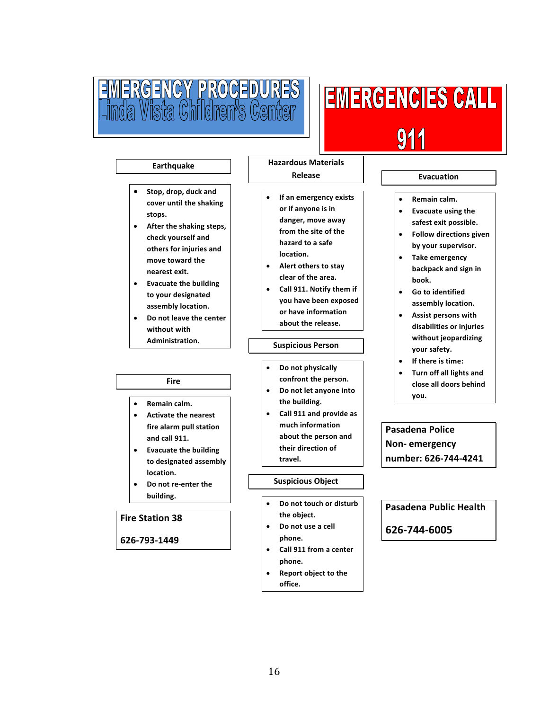# EMERGENCY PROCEDURES<br>Linda Vista Children's Center

# **EMERGENCIES CALL Notify your supervisor. Prepare to evacuate.**

ī

#### **Earthquake**

- **Stop, drop, duck and cover until the shaking stops.**
- **After the shaking steps, check yourself and others for injuries and move toward the nearest exit.**
- **Evacuate the building to your designated assembly location.**
- **Do not leave the center without with Administration.**

#### **Fire**

- **Remain calm.**
- **Activate the nearest fire alarm pull station and call 911.**
- **Evacuate the building to designated assembly location.**
- **Do not re‐enter the building.**

#### **Fire Station 38**

#### **626‐793‐1449**

 **If an emergency exists or if anyone is in danger, move away from the site of the hazard to a safe location.**

**Hazardous Materials Release**

- **Alert others to stay clear of the area.**
- **Call 911. Notify them if you have been exposed or have information about the release.**

#### **Suspicious Person**

- **Do not physically confront the person.**
- **Do not let anyone into the building.**
- **Call 911 and provide as much information about the person and their direction of travel.**

#### **Suspicious Object**

- **Do not touch or disturb the object.**
- **Do not use a cell phone.**
- **Call 911 from a center phone.**
- **Report object to the office.**

#### **Evacuation**

- **Remain calm.**
- **Evacuate using the safest exit possible.**
- **Follow directions given by your supervisor.**
- **Take emergency backpack and sign in book.**
- **Go to identified assembly location.**
- **Assist persons with disabilities or injuries without jeopardizing your safety.**
- **If there is time:**
- **Turn off all lights and close all doors behind you.**

**Pasadena Police Non‐ emergency number: 626‐744‐4241**

**Pasadena Public Health**

**626‐744‐6005**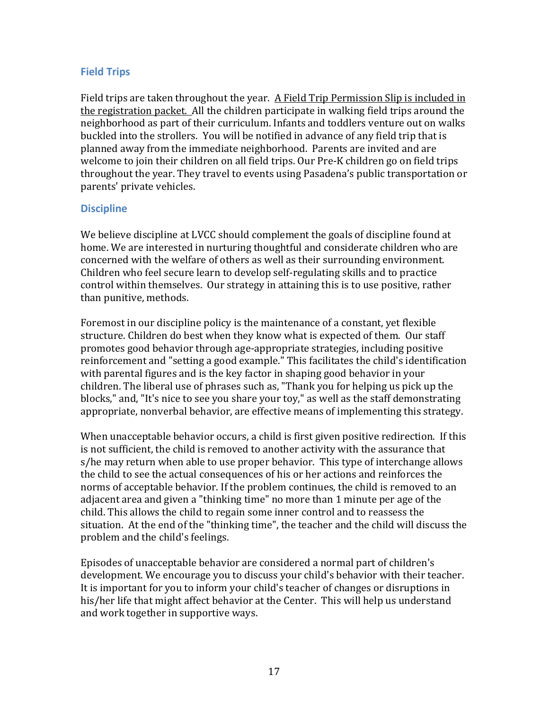#### **Field Trips**

Field trips are taken throughout the year. A Field Trip Permission Slip is included in the registration packet. All the children participate in walking field trips around the neighborhood as part of their curriculum. Infants and toddlers venture out on walks buckled into the strollers. You will be notified in advance of any field trip that is planned away from the immediate neighborhood. Parents are invited and are welcome to join their children on all field trips. Our Pre-K children go on field trips throughout the year. They travel to events using Pasadena's public transportation or parents' private vehicles.

#### **Discipline**

We believe discipline at LVCC should complement the goals of discipline found at home. We are interested in nurturing thoughtful and considerate children who are concerned with the welfare of others as well as their surrounding environment. Children who feel secure learn to develop self-regulating skills and to practice control within themselves. Our strategy in attaining this is to use positive, rather than punitive, methods.

Foremost in our discipline policy is the maintenance of a constant, yet flexible structure. Children do best when they know what is expected of them. Our staff promotes good behavior through age-appropriate strategies, including positive reinforcement and "setting a good example." This facilitates the child's identification with parental figures and is the key factor in shaping good behavior in your children. The liberal use of phrases such as, "Thank you for helping us pick up the blocks," and, "It's nice to see you share your toy," as well as the staff demonstrating appropriate, nonverbal behavior, are effective means of implementing this strategy.

When unacceptable behavior occurs, a child is first given positive redirection. If this is not sufficient, the child is removed to another activity with the assurance that s/he may return when able to use proper behavior. This type of interchange allows the child to see the actual consequences of his or her actions and reinforces the norms of acceptable behavior. If the problem continues, the child is removed to an adjacent area and given a "thinking time" no more than 1 minute per age of the child. This allows the child to regain some inner control and to reassess the situation. At the end of the "thinking time", the teacher and the child will discuss the problem and the child's feelings.

Episodes of unacceptable behavior are considered a normal part of children's development. We encourage you to discuss your child's behavior with their teacher. It is important for you to inform your child's teacher of changes or disruptions in his/her life that might affect behavior at the Center. This will help us understand and work together in supportive ways.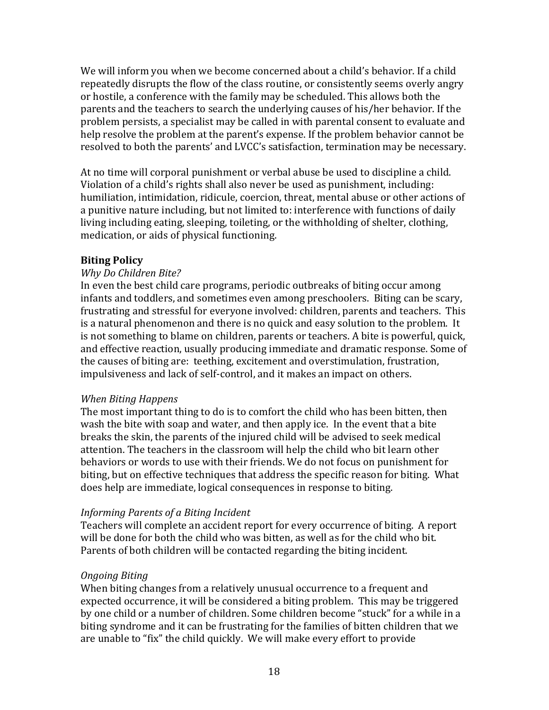We will inform you when we become concerned about a child's behavior. If a child repeatedly disrupts the flow of the class routine, or consistently seems overly angry or hostile, a conference with the family may be scheduled. This allows both the parents and the teachers to search the underlying causes of his/her behavior. If the problem persists, a specialist may be called in with parental consent to evaluate and help resolve the problem at the parent's expense. If the problem behavior cannot be resolved to both the parents' and LVCC's satisfaction, termination may be necessary.

At no time will corporal punishment or verbal abuse be used to discipline a child. Violation of a child's rights shall also never be used as punishment, including: humiliation, intimidation, ridicule, coercion, threat, mental abuse or other actions of a punitive nature including, but not limited to: interference with functions of daily living including eating, sleeping, toileting, or the withholding of shelter, clothing, medication, or aids of physical functioning.

#### **Biting Policy**

#### *Why Do Children Bite?*

In even the best child care programs, periodic outbreaks of biting occur among infants and toddlers, and sometimes even among preschoolers. Biting can be scary, frustrating and stressful for everyone involved: children, parents and teachers. This is a natural phenomenon and there is no quick and easy solution to the problem. It is not something to blame on children, parents or teachers. A bite is powerful, quick, and effective reaction, usually producing immediate and dramatic response. Some of the causes of biting are: teething, excitement and overstimulation, frustration, impulsiveness and lack of self-control, and it makes an impact on others.

#### *When Biting Happens*

The most important thing to do is to comfort the child who has been bitten, then wash the bite with soap and water, and then apply ice. In the event that a bite breaks the skin, the parents of the injured child will be advised to seek medical attention. The teachers in the classroom will help the child who bit learn other behaviors or words to use with their friends. We do not focus on punishment for biting, but on effective techniques that address the specific reason for biting. What does help are immediate, logical consequences in response to biting.

#### *Informing Parents of a Biting Incident*

Teachers will complete an accident report for every occurrence of biting. A report will be done for both the child who was bitten, as well as for the child who bit. Parents of both children will be contacted regarding the biting incident.

#### *Ongoing Biting*

When biting changes from a relatively unusual occurrence to a frequent and expected occurrence, it will be considered a biting problem. This may be triggered by one child or a number of children. Some children become "stuck" for a while in a biting syndrome and it can be frustrating for the families of bitten children that we are unable to "fix" the child quickly. We will make every effort to provide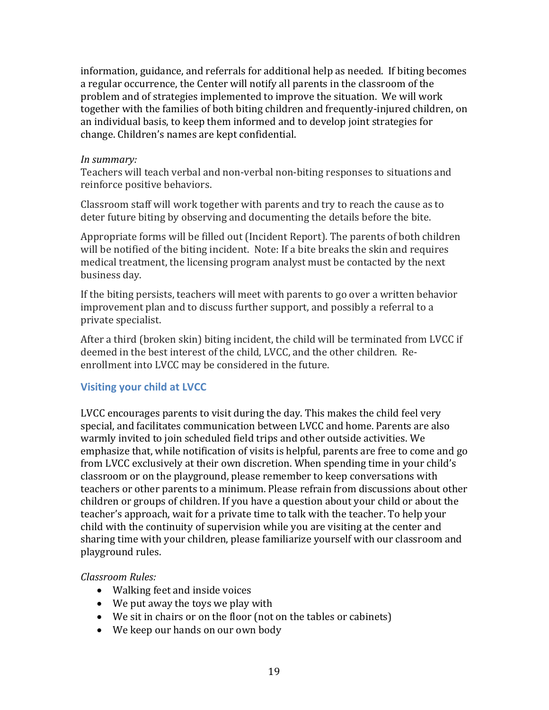information, guidance, and referrals for additional help as needed. If biting becomes a regular occurrence, the Center will notify all parents in the classroom of the problem and of strategies implemented to improve the situation. We will work together with the families of both biting children and frequently-injured children, on an individual basis, to keep them informed and to develop joint strategies for change. Children's names are kept confidential.

#### *In summary:*

Teachers will teach verbal and non-verbal non-biting responses to situations and reinforce positive behaviors.

Classroom staff will work together with parents and try to reach the cause as to deter future biting by observing and documenting the details before the bite.

Appropriate forms will be filled out (Incident Report). The parents of both children will be notified of the biting incident. Note: If a bite breaks the skin and requires medical treatment, the licensing program analyst must be contacted by the next business day.

If the biting persists, teachers will meet with parents to go over a written behavior improvement plan and to discuss further support, and possibly a referral to a private specialist.

After a third (broken skin) biting incident, the child will be terminated from LVCC if deemed in the best interest of the child, LVCC, and the other children. Reenrollment into LVCC may be considered in the future.

#### **Visiting your child at LVCC**

LVCC encourages parents to visit during the day. This makes the child feel very special, and facilitates communication between LVCC and home. Parents are also warmly invited to join scheduled field trips and other outside activities. We emphasize that, while notification of visits is helpful, parents are free to come and go from LVCC exclusively at their own discretion. When spending time in your child's classroom or on the playground, please remember to keep conversations with teachers or other parents to a minimum. Please refrain from discussions about other children or groups of children. If you have a question about your child or about the teacher's approach, wait for a private time to talk with the teacher. To help your child with the continuity of supervision while you are visiting at the center and sharing time with your children, please familiarize yourself with our classroom and playground rules.

#### *Classroom Rules:*

- Walking feet and inside voices
- We put away the toys we play with
- We sit in chairs or on the floor (not on the tables or cabinets)
- We keep our hands on our own body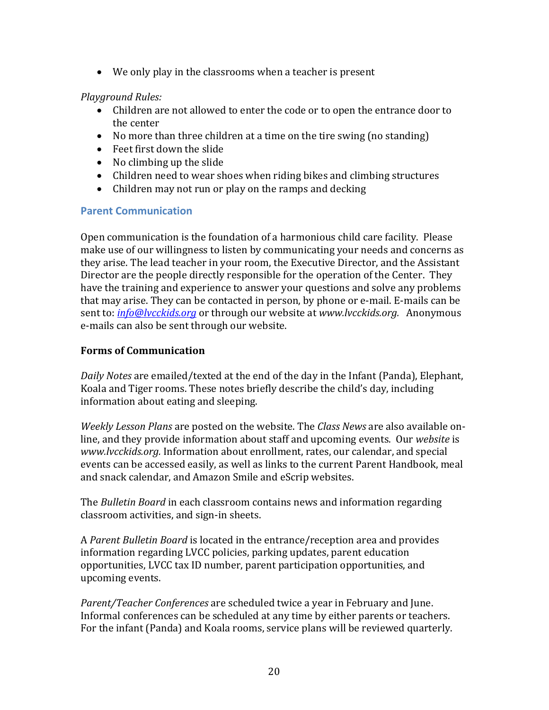We only play in the classrooms when a teacher is present

#### *Playground Rules:*

- Children are not allowed to enter the code or to open the entrance door to the center
- No more than three children at a time on the tire swing (no standing)
- Feet first down the slide
- No climbing up the slide
- Children need to wear shoes when riding bikes and climbing structures
- Children may not run or play on the ramps and decking

#### **Parent Communication**

Open communication is the foundation of a harmonious child care facility. Please make use of our willingness to listen by communicating your needs and concerns as they arise. The lead teacher in your room, the Executive Director, and the Assistant Director are the people directly responsible for the operation of the Center. They have the training and experience to answer your questions and solve any problems that may arise. They can be contacted in person, by phone or e-mail. E-mails can be sent to: *info@lvcckids.org* or through our website at *www.lvcckids.org.* Anonymous e-mails can also be sent through our website.

#### **Forms of Communication**

*Daily Notes* are emailed/texted at the end of the day in the Infant (Panda), Elephant, Koala and Tiger rooms. These notes briefly describe the child's day, including information about eating and sleeping.

*Weekly Lesson Plans* are posted on the website. The *Class News* are also available online, and they provide information about staff and upcoming events. Our *website* is *www.lvcckids.org.* Information about enrollment, rates, our calendar, and special events can be accessed easily, as well as links to the current Parent Handbook, meal and snack calendar, and Amazon Smile and eScrip websites.

The *Bulletin Board* in each classroom contains news and information regarding classroom activities, and sign-in sheets.

A *Parent Bulletin Board* is located in the entrance/reception area and provides information regarding LVCC policies, parking updates, parent education opportunities, LVCC tax ID number, parent participation opportunities, and upcoming events.

*Parent/Teacher Conferences* are scheduled twice a year in February and June. Informal conferences can be scheduled at any time by either parents or teachers. For the infant (Panda) and Koala rooms, service plans will be reviewed quarterly.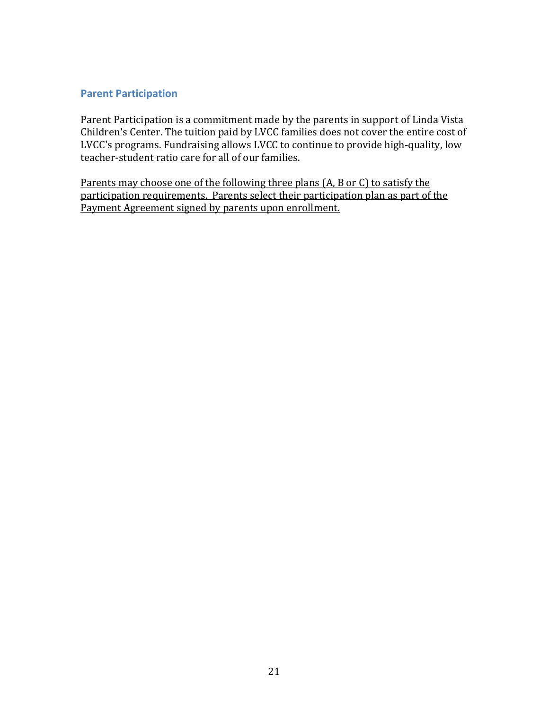#### **Parent Participation**

Parent Participation is a commitment made by the parents in support of Linda Vista Children's Center. The tuition paid by LVCC families does not cover the entire cost of LVCC's programs. Fundraising allows LVCC to continue to provide high-quality, low teacher-student ratio care for all of our families.

Parents may choose one of the following three plans (A, B or C) to satisfy the participation requirements. Parents select their participation plan as part of the Payment Agreement signed by parents upon enrollment.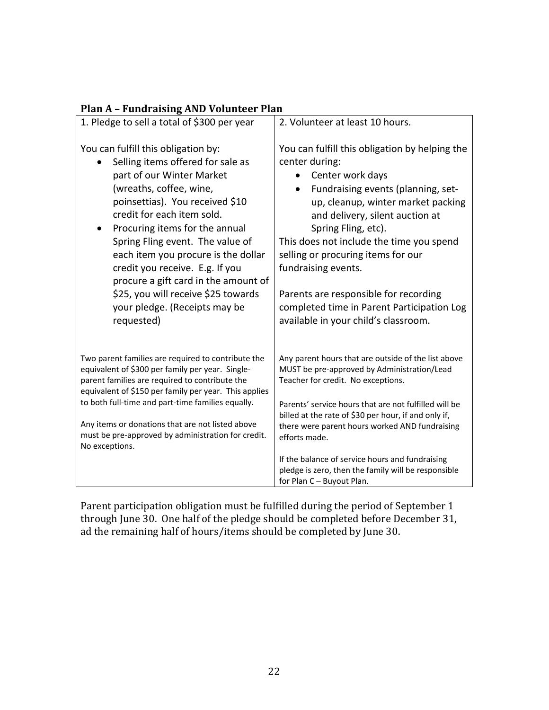| Fiall A – Fullul alsing AND Volunteer Fiall                                                                                                                                                                                                                                                                                                                                                                                                                                                  |                                                                                                                                                                                                                                                                                                                                                                                                                                                                                 |
|----------------------------------------------------------------------------------------------------------------------------------------------------------------------------------------------------------------------------------------------------------------------------------------------------------------------------------------------------------------------------------------------------------------------------------------------------------------------------------------------|---------------------------------------------------------------------------------------------------------------------------------------------------------------------------------------------------------------------------------------------------------------------------------------------------------------------------------------------------------------------------------------------------------------------------------------------------------------------------------|
| 1. Pledge to sell a total of \$300 per year                                                                                                                                                                                                                                                                                                                                                                                                                                                  | 2. Volunteer at least 10 hours.                                                                                                                                                                                                                                                                                                                                                                                                                                                 |
| You can fulfill this obligation by:<br>Selling items offered for sale as<br>part of our Winter Market<br>(wreaths, coffee, wine,<br>poinsettias). You received \$10<br>credit for each item sold.<br>Procuring items for the annual<br>$\bullet$<br>Spring Fling event. The value of<br>each item you procure is the dollar<br>credit you receive. E.g. If you<br>procure a gift card in the amount of<br>\$25, you will receive \$25 towards<br>your pledge. (Receipts may be<br>requested) | You can fulfill this obligation by helping the<br>center during:<br>Center work days<br>Fundraising events (planning, set-<br>$\bullet$<br>up, cleanup, winter market packing<br>and delivery, silent auction at<br>Spring Fling, etc).<br>This does not include the time you spend<br>selling or procuring items for our<br>fundraising events.<br>Parents are responsible for recording<br>completed time in Parent Participation Log<br>available in your child's classroom. |
| Two parent families are required to contribute the<br>equivalent of \$300 per family per year. Single-<br>parent families are required to contribute the<br>equivalent of \$150 per family per year. This applies<br>to both full-time and part-time families equally.<br>Any items or donations that are not listed above<br>must be pre-approved by administration for credit.<br>No exceptions.                                                                                           | Any parent hours that are outside of the list above<br>MUST be pre-approved by Administration/Lead<br>Teacher for credit. No exceptions.<br>Parents' service hours that are not fulfilled will be<br>billed at the rate of \$30 per hour, if and only if,<br>there were parent hours worked AND fundraising<br>efforts made.<br>If the balance of service hours and fundraising                                                                                                 |
|                                                                                                                                                                                                                                                                                                                                                                                                                                                                                              | pledge is zero, then the family will be responsible<br>for Plan C - Buyout Plan.                                                                                                                                                                                                                                                                                                                                                                                                |

#### **Plan A – Fundraising AND Volunteer Plan**

Parent participation obligation must be fulfilled during the period of September 1 through June 30. One half of the pledge should be completed before December 31, ad the remaining half of hours/items should be completed by June 30.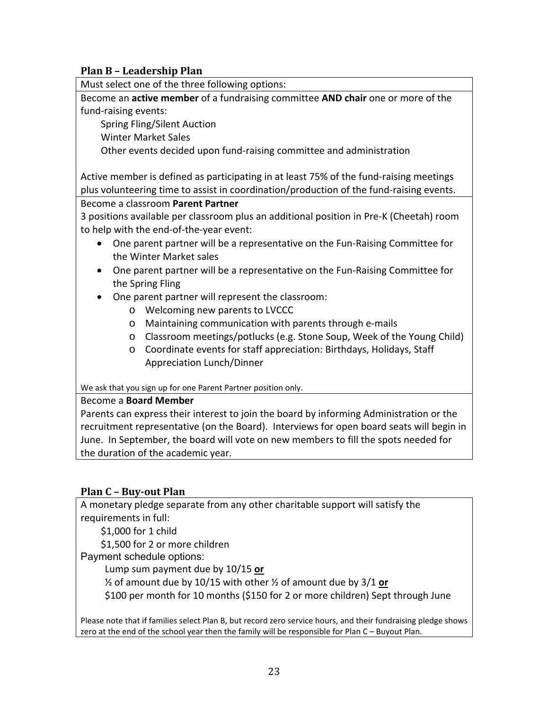#### **Plan B – Leadership Plan**

Must select one of the three following options:

Become an **active member** of a fundraising committee **AND chair** one or more of the fund‐raising events:

Spring Fling/Silent Auction

Winter Market Sales

Other events decided upon fund‐raising committee and administration

Active member is defined as participating in at least 75% of the fund‐raising meetings plus volunteering time to assist in coordination/production of the fund‐raising events.

Become a classroom **Parent Partner** 

3 positions available per classroom plus an additional position in Pre‐K (Cheetah) room to help with the end‐of‐the‐year event:

- One parent partner will be a representative on the Fun-Raising Committee for the Winter Market sales
- One parent partner will be a representative on the Fun-Raising Committee for the Spring Fling
- One parent partner will represent the classroom:
	- o Welcoming new parents to LVCCC
	- o Maintaining communication with parents through e‐mails
	- o Classroom meetings/potlucks (e.g. Stone Soup, Week of the Young Child)
	- o Coordinate events for staff appreciation: Birthdays, Holidays, Staff Appreciation Lunch/Dinner

We ask that you sign up for one Parent Partner position only.

#### Become a **Board Member**

Parents can express their interest to join the board by informing Administration or the recruitment representative (on the Board). Interviews for open board seats will begin in June. In September, the board will vote on new members to fill the spots needed for the duration of the academic year.

#### **Plan C – Buy‐out Plan**

A monetary pledge separate from any other charitable support will satisfy the requirements in full:

\$1,000 for 1 child

\$1,500 for 2 or more children

Payment schedule options:

Lump sum payment due by 10/15 **or**

½ of amount due by 10/15 with other ½ of amount due by 3/1 **or** 

\$100 per month for 10 months (\$150 for 2 or more children) Sept through June

Please note that if families select Plan B, but record zero service hours, and their fundraising pledge shows zero at the end of the school year then the family will be responsible for Plan C – Buyout Plan.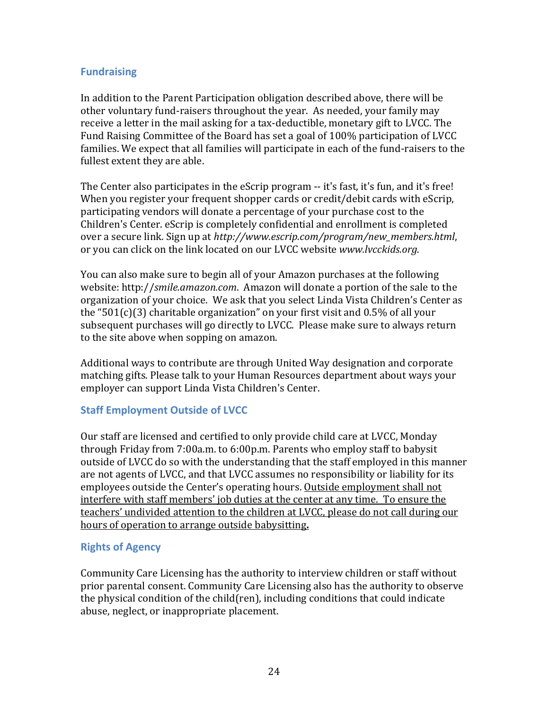#### **Fundraising**

In addition to the Parent Participation obligation described above, there will be other voluntary fund-raisers throughout the year. As needed, your family may receive a letter in the mail asking for a tax-deductible, monetary gift to LVCC. The Fund Raising Committee of the Board has set a goal of 100% participation of LVCC families. We expect that all families will participate in each of the fund-raisers to the fullest extent they are able.

The Center also participates in the eScrip program -- it's fast, it's fun, and it's free! When you register your frequent shopper cards or credit/debit cards with eScrip, participating vendors will donate a percentage of your purchase cost to the Children's Center. eScrip is completely confidential and enrollment is completed over a secure link. Sign up at *http://www.escrip.com/program/new\_members.html*, or you can click on the link located on our LVCC website *www.lvcckids.org.*

You can also make sure to begin all of your Amazon purchases at the following website: http://*smile.amazon.com*. Amazon will donate a portion of the sale to the organization of your choice. We ask that you select Linda Vista Children's Center as the "501(c)(3) charitable organization" on your first visit and 0.5% of all your subsequent purchases will go directly to LVCC. Please make sure to always return to the site above when sopping on amazon.

Additional ways to contribute are through United Way designation and corporate matching gifts. Please talk to your Human Resources department about ways your employer can support Linda Vista Children's Center.

#### **Staff Employment Outside of LVCC**

Our staff are licensed and certified to only provide child care at LVCC, Monday through Friday from 7:00a.m. to 6:00p.m. Parents who employ staff to babysit outside of LVCC do so with the understanding that the staff employed in this manner are not agents of LVCC, and that LVCC assumes no responsibility or liability for its employees outside the Center's operating hours. Outside employment shall not interfere with staff members' job duties at the center at any time. To ensure the teachers' undivided attention to the children at LVCC, please do not call during our hours of operation to arrange outside babysitting**.** 

#### **Rights of Agency**

Community Care Licensing has the authority to interview children or staff without prior parental consent. Community Care Licensing also has the authority to observe the physical condition of the child(ren), including conditions that could indicate abuse, neglect, or inappropriate placement.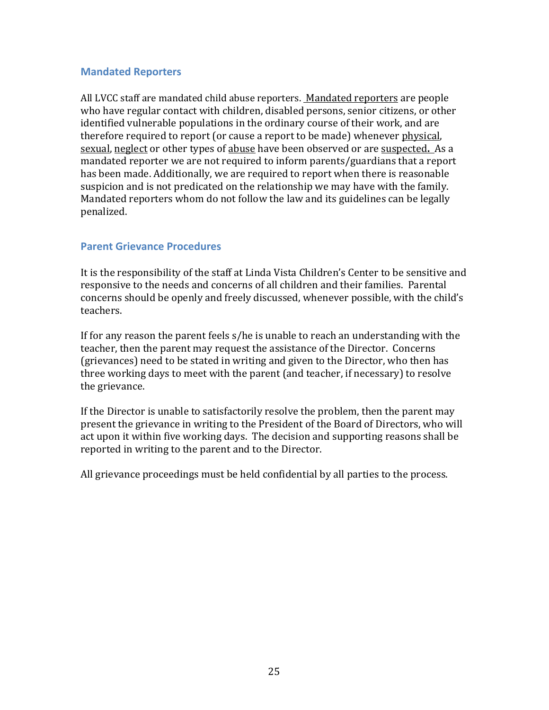#### **Mandated Reporters**

All LVCC staff are mandated child abuse reporters. Mandated reporters are people who have regular contact with children, disabled persons, senior citizens, or other identified vulnerable populations in the ordinary course of their work, and are therefore required to report (or cause a report to be made) whenever physical, sexual, neglect or other types of abuse have been observed or are suspected**.** As a mandated reporter we are not required to inform parents/guardians that a report has been made. Additionally, we are required to report when there is reasonable suspicion and is not predicated on the relationship we may have with the family. Mandated reporters whom do not follow the law and its guidelines can be legally penalized.

#### **Parent Grievance Procedures**

It is the responsibility of the staff at Linda Vista Children's Center to be sensitive and responsive to the needs and concerns of all children and their families. Parental concerns should be openly and freely discussed, whenever possible, with the child's teachers.

If for any reason the parent feels s/he is unable to reach an understanding with the teacher, then the parent may request the assistance of the Director. Concerns (grievances) need to be stated in writing and given to the Director, who then has three working days to meet with the parent (and teacher, if necessary) to resolve the grievance.

If the Director is unable to satisfactorily resolve the problem, then the parent may present the grievance in writing to the President of the Board of Directors, who will act upon it within five working days. The decision and supporting reasons shall be reported in writing to the parent and to the Director.

All grievance proceedings must be held confidential by all parties to the process.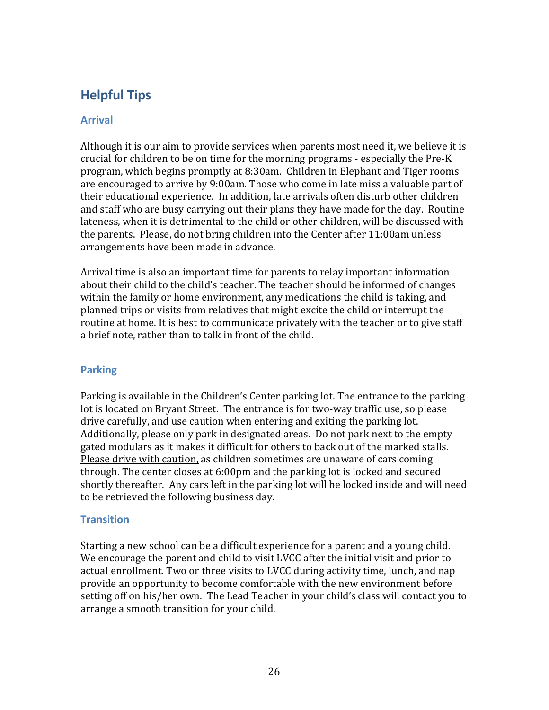## **Helpful Tips**

#### **Arrival**

Although it is our aim to provide services when parents most need it, we believe it is crucial for children to be on time for the morning programs - especially the Pre-K program, which begins promptly at 8:30am. Children in Elephant and Tiger rooms are encouraged to arrive by 9:00am. Those who come in late miss a valuable part of their educational experience. In addition, late arrivals often disturb other children and staff who are busy carrying out their plans they have made for the day. Routine lateness, when it is detrimental to the child or other children, will be discussed with the parents. Please, do not bring children into the Center after 11:00am unless arrangements have been made in advance.

Arrival time is also an important time for parents to relay important information about their child to the child's teacher. The teacher should be informed of changes within the family or home environment, any medications the child is taking, and planned trips or visits from relatives that might excite the child or interrupt the routine at home. It is best to communicate privately with the teacher or to give staff a brief note, rather than to talk in front of the child.

#### **Parking**

Parking is available in the Children's Center parking lot. The entrance to the parking lot is located on Bryant Street. The entrance is for two-way traffic use, so please drive carefully, and use caution when entering and exiting the parking lot. Additionally, please only park in designated areas. Do not park next to the empty gated modulars as it makes it difficult for others to back out of the marked stalls. Please drive with caution, as children sometimes are unaware of cars coming through. The center closes at 6:00pm and the parking lot is locked and secured shortly thereafter. Any cars left in the parking lot will be locked inside and will need to be retrieved the following business day.

#### **Transition**

Starting a new school can be a difficult experience for a parent and a young child. We encourage the parent and child to visit LVCC after the initial visit and prior to actual enrollment. Two or three visits to LVCC during activity time, lunch, and nap provide an opportunity to become comfortable with the new environment before setting off on his/her own. The Lead Teacher in your child's class will contact you to arrange a smooth transition for your child.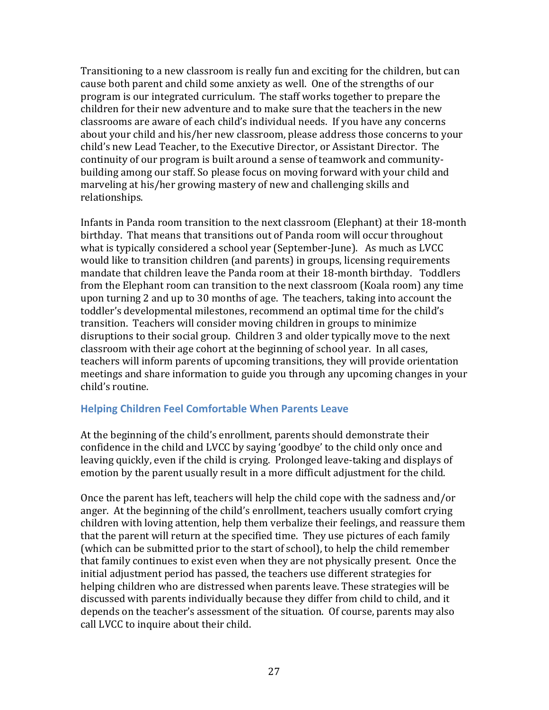Transitioning to a new classroom is really fun and exciting for the children, but can cause both parent and child some anxiety as well. One of the strengths of our program is our integrated curriculum. The staff works together to prepare the children for their new adventure and to make sure that the teachers in the new classrooms are aware of each child's individual needs. If you have any concerns about your child and his/her new classroom, please address those concerns to your child's new Lead Teacher, to the Executive Director, or Assistant Director. The continuity of our program is built around a sense of teamwork and communitybuilding among our staff. So please focus on moving forward with your child and marveling at his/her growing mastery of new and challenging skills and relationships.

Infants in Panda room transition to the next classroom (Elephant) at their 18-month birthday. That means that transitions out of Panda room will occur throughout what is typically considered a school year (September-June). As much as LVCC would like to transition children (and parents) in groups, licensing requirements mandate that children leave the Panda room at their 18-month birthday. Toddlers from the Elephant room can transition to the next classroom (Koala room) any time upon turning 2 and up to 30 months of age. The teachers, taking into account the toddler's developmental milestones, recommend an optimal time for the child's transition. Teachers will consider moving children in groups to minimize disruptions to their social group. Children 3 and older typically move to the next classroom with their age cohort at the beginning of school year. In all cases, teachers will inform parents of upcoming transitions, they will provide orientation meetings and share information to guide you through any upcoming changes in your child's routine.

#### **Helping Children Feel Comfortable When Parents Leave**

At the beginning of the child's enrollment, parents should demonstrate their confidence in the child and LVCC by saying 'goodbye' to the child only once and leaving quickly, even if the child is crying. Prolonged leave-taking and displays of emotion by the parent usually result in a more difficult adjustment for the child.

Once the parent has left, teachers will help the child cope with the sadness and/or anger. At the beginning of the child's enrollment, teachers usually comfort crying children with loving attention, help them verbalize their feelings, and reassure them that the parent will return at the specified time. They use pictures of each family (which can be submitted prior to the start of school), to help the child remember that family continues to exist even when they are not physically present. Once the initial adjustment period has passed, the teachers use different strategies for helping children who are distressed when parents leave. These strategies will be discussed with parents individually because they differ from child to child, and it depends on the teacher's assessment of the situation. Of course, parents may also call LVCC to inquire about their child.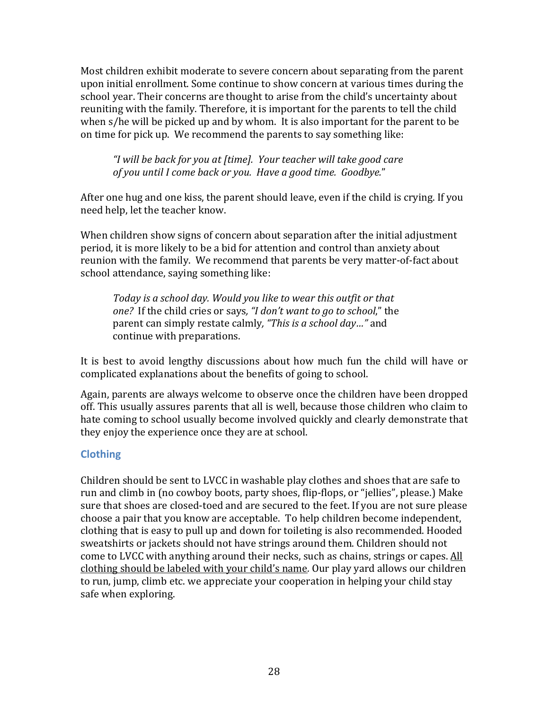Most children exhibit moderate to severe concern about separating from the parent upon initial enrollment. Some continue to show concern at various times during the school year. Their concerns are thought to arise from the child's uncertainty about reuniting with the family. Therefore, it is important for the parents to tell the child when s/he will be picked up and by whom. It is also important for the parent to be on time for pick up. We recommend the parents to say something like:

*"I will be back for you at [time]. Your teacher will take good care of you until I come back or you. Have a good time. Goodbye.*"

After one hug and one kiss, the parent should leave, even if the child is crying. If you need help, let the teacher know.

When children show signs of concern about separation after the initial adjustment period, it is more likely to be a bid for attention and control than anxiety about reunion with the family. We recommend that parents be very matter-of-fact about school attendance, saying something like:

*Today is a school day. Would you like to wear this outfit or that one?* If the child cries or says*, "I don't want to go to school*," the parent can simply restate calmly*, "This is a school day…"* and continue with preparations.

It is best to avoid lengthy discussions about how much fun the child will have or complicated explanations about the benefits of going to school.

Again, parents are always welcome to observe once the children have been dropped off. This usually assures parents that all is well, because those children who claim to hate coming to school usually become involved quickly and clearly demonstrate that they enjoy the experience once they are at school.

#### **Clothing**

Children should be sent to LVCC in washable play clothes and shoes that are safe to run and climb in (no cowboy boots, party shoes, flip-flops, or "jellies", please.) Make sure that shoes are closed-toed and are secured to the feet. If you are not sure please choose a pair that you know are acceptable. To help children become independent, clothing that is easy to pull up and down for toileting is also recommended. Hooded sweatshirts or jackets should not have strings around them. Children should not come to LVCC with anything around their necks, such as chains, strings or capes. All clothing should be labeled with your child's name*.* Our play yard allows our children to run, jump, climb etc. we appreciate your cooperation in helping your child stay safe when exploring.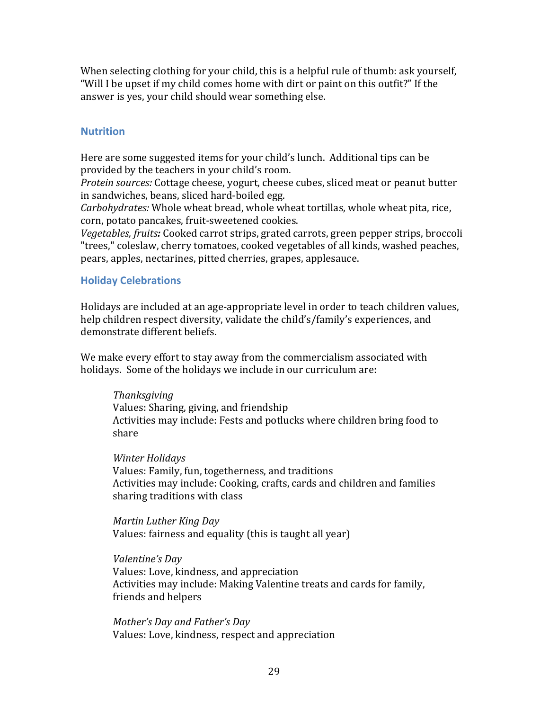When selecting clothing for your child, this is a helpful rule of thumb: ask yourself, "Will I be upset if my child comes home with dirt or paint on this outfit?" If the answer is yes, your child should wear something else.

#### **Nutrition**

Here are some suggested items for your child's lunch. Additional tips can be provided by the teachers in your child's room.

*Protein sources:* Cottage cheese, yogurt, cheese cubes, sliced meat or peanut butter in sandwiches, beans, sliced hard-boiled egg.

*Carbohydrates:* Whole wheat bread, whole wheat tortillas, whole wheat pita, rice, corn, potato pancakes, fruit-sweetened cookies.

*Vegetables, fruits:* Cooked carrot strips, grated carrots, green pepper strips, broccoli "trees," coleslaw, cherry tomatoes, cooked vegetables of all kinds, washed peaches, pears, apples, nectarines, pitted cherries, grapes, applesauce.

#### **Holiday Celebrations**

Holidays are included at an age-appropriate level in order to teach children values, help children respect diversity, validate the child's/family's experiences, and demonstrate different beliefs.

We make every effort to stay away from the commercialism associated with holidays. Some of the holidays we include in our curriculum are:

*Thanksgiving* Values: Sharing, giving, and friendship Activities may include: Fests and potlucks where children bring food to share

*Winter Holidays* Values: Family, fun, togetherness, and traditions Activities may include: Cooking, crafts, cards and children and families sharing traditions with class

*Martin Luther King Day* Values: fairness and equality (this is taught all year)

*Valentine's Day* Values: Love, kindness, and appreciation Activities may include: Making Valentine treats and cards for family, friends and helpers

*Mother's Day and Father's Day* Values: Love, kindness, respect and appreciation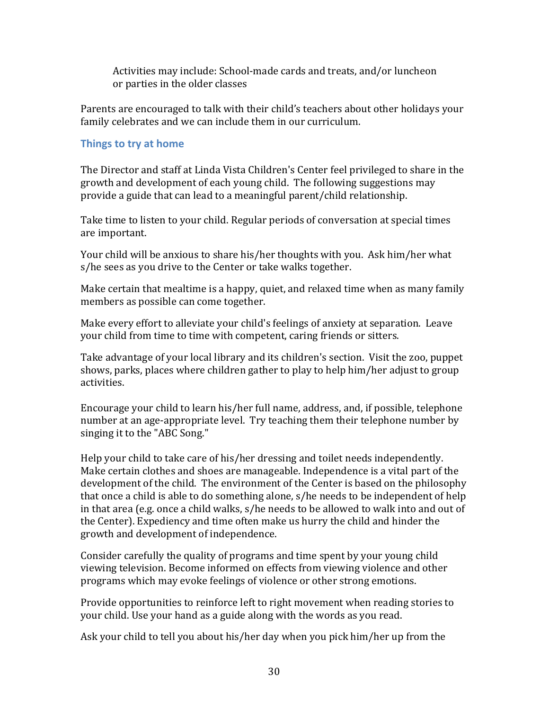Activities may include: School-made cards and treats, and/or luncheon or parties in the older classes

Parents are encouraged to talk with their child's teachers about other holidays your family celebrates and we can include them in our curriculum.

#### **Things to try at home**

The Director and staff at Linda Vista Children's Center feel privileged to share in the growth and development of each young child. The following suggestions may provide a guide that can lead to a meaningful parent/child relationship.

Take time to listen to your child. Regular periods of conversation at special times are important.

Your child will be anxious to share his/her thoughts with you. Ask him/her what s/he sees as you drive to the Center or take walks together.

Make certain that mealtime is a happy, quiet, and relaxed time when as many family members as possible can come together.

Make every effort to alleviate your child's feelings of anxiety at separation. Leave your child from time to time with competent, caring friends or sitters.

Take advantage of your local library and its children's section. Visit the zoo, puppet shows, parks, places where children gather to play to help him/her adjust to group activities.

Encourage your child to learn his/her full name, address, and, if possible, telephone number at an age-appropriate level. Try teaching them their telephone number by singing it to the "ABC Song."

Help your child to take care of his/her dressing and toilet needs independently. Make certain clothes and shoes are manageable. Independence is a vital part of the development of the child. The environment of the Center is based on the philosophy that once a child is able to do something alone, s/he needs to be independent of help in that area (e.g. once a child walks, s/he needs to be allowed to walk into and out of the Center). Expediency and time often make us hurry the child and hinder the growth and development of independence.

Consider carefully the quality of programs and time spent by your young child viewing television. Become informed on effects from viewing violence and other programs which may evoke feelings of violence or other strong emotions.

Provide opportunities to reinforce left to right movement when reading stories to your child. Use your hand as a guide along with the words as you read.

Ask your child to tell you about his/her day when you pick him/her up from the